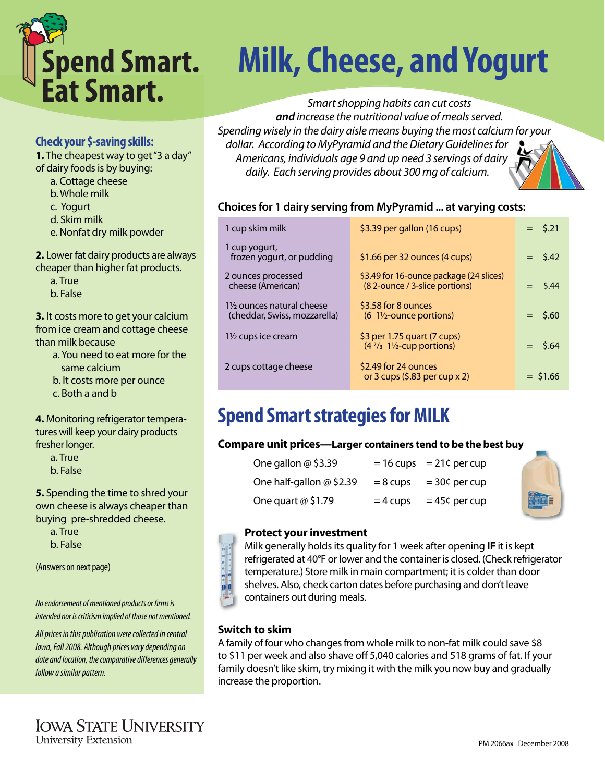

# **Spend Smart.** Milk, Cheese, and Yogurt<br>Eat Smart.

Smart shopping habits can cut costs *and* increase the nutritional value of meals served. Spending wisely in the dairy aisle means buying the most calcium for your dollar. According to MyPyramid and the Dietary Guidelines for Americans, individuals age 9 and up need 3 servings of dairy daily. Each serving provides about 300 mg of calcium.



| 1 cup skim milk                                                      | \$3.39 per gallon (16 cups)                                               | $=$ \$.21  |
|----------------------------------------------------------------------|---------------------------------------------------------------------------|------------|
| 1 cup yogurt,<br>frozen yogurt, or pudding                           | \$1.66 per 32 ounces (4 cups)                                             | $=$ \$.42  |
| 2 ounces processed<br>cheese (American)                              | \$3.49 for 16-ounce package (24 slices)<br>(8 2-ounce / 3-slice portions) | $=$ \$.44  |
| $1\frac{1}{2}$ ounces natural cheese<br>(cheddar, Swiss, mozzarella) | \$3.58 for 8 ounces<br>$(6 \t1\frac{1}{2}$ -ounce portions)               | $=$ \$.60  |
| $1\frac{1}{2}$ cups ice cream                                        | \$3 per 1.75 quart (7 cups)<br>$(42/3 11/2$ -cup portions)                | $=$ \$.64  |
| 2 cups cottage cheese                                                | \$2.49 for 24 ounces<br>or 3 cups $(5.83$ per cup x 2)                    | $=$ \$1.66 |

# **Spend Smart strategies for MILK**

## **Compare unit prices—Larger containers tend to be the best buy**

| One gallon $@$ \$3.39      |            | $= 16$ cups $= 21$ ¢ per cup |
|----------------------------|------------|------------------------------|
| One half-gallon $@$ \$2.39 | $= 8$ cups | $=$ 30¢ per cup              |
| One quart $@$ \$1.79       | $=$ 4 cups | $= 45$ ¢ per cup             |

#### **Protect your investment**

Milk generally holds its quality for 1 week after opening **IF** it is kept refrigerated at 40°F or lower and the container is closed. (Check refrigerator temperature.) Store milk in main compartment; it is colder than door shelves. Also, check carton dates before purchasing and don't leave containers out during meals.

## **Switch to skim**

A family of four who changes from whole milk to non-fat milk could save \$8 to \$11 per week and also shave off 5,040 calories and 518 grams of fat. If your family doesn't like skim, try mixing it with the milk you now buy and gradually increase the proportion.

## **Check your \$-saving skills:**

**1.** The cheapest way to get "3 a day" of dairy foods is by buying:

- a. Cottage cheese
- b. Whole milk
- c. Yogurt
- d. Skim milk
- e. Nonfat dry milk powder

**2.** Lower fat dairy products are always cheaper than higher fat products.

 a. True b. False

**3.** It costs more to get your calcium from ice cream and cottage cheese than milk because

- a. You need to eat more for the same calcium
- b. It costs more per ounce

c. Both a and b

**4.** Monitoring refrigerator temperatures will keep your dairy products fresher longer.

a. True

b. False

**5.** Spending the time to shred your own cheese is always cheaper than buying pre-shredded cheese.

 a. True b. False

(Answers on next page)

No endorsement of mentioned products or firms is intended nor is criticism implied of those not mentioned.

All prices in this publication were collected in central Iowa, Fall 2008. Although prices vary depending on date and location, the comparative differences generally follow a similar pattern.